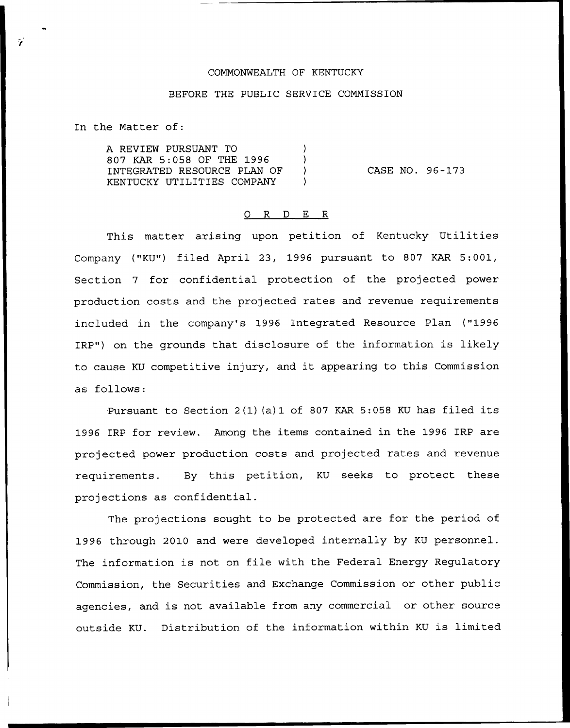## COMMONWEALTH OF KENTUCKY

## BEFORE THE PUBLIC SERVICE COMMISSION

In the Matter of:

A REVIEW PURSUANT TO ) 807 KAR 5:058 OF THE 1996 ) INTEGRATED RESOURCE PLAN OF KENTUCKY UTILITIES COMPANY )

CASE NO. 96-173

## 0 R <sup>D</sup> E R

This matter arising upon petition of Kentucky Utilities Company ("KU") filed April 23, 1996 pursuant to 807 KAR 5:001, Section 7 for confidential protection of the projected power production costs and the projected rates and revenue requirements included in the company's 1996 Integrated Resource Plan ("1996 IRP") on the grounds that disclosure of the information is likely to cause KU competitive injury, and it appearing to this Commission as follows:

Pursuant to Section 2(1) (a) 1 of <sup>807</sup> KAR 5:058 KU has filed its 1996 IRP for review. Among the items contained in the 1996 IRP are projected power production costs and projected rates and revenue requirements. By this petition, KU seeks to protect these projections as confidential.

The projections sought to be protected are for the period of 1996 through 2010 and were developed internally by KU personnel. The information is not on file with the Federal Energy Regulatory Commission, the Securities and Exchange Commission or other public agencies, and is not available from any commercial or other source outside KU. Distribution of the information within KU is limited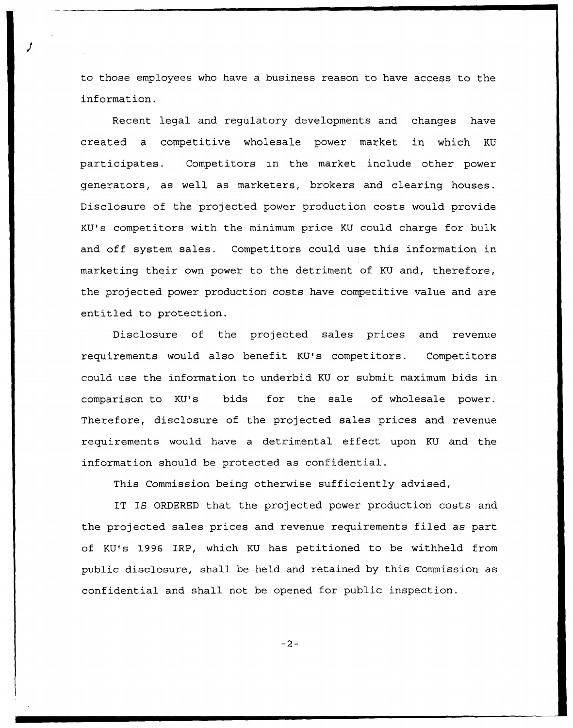to those employees who have a business reason to have access to the information.

Recent legal and regulatory developments and changes have created a competitive wholesale power market in which KU participates. Competitors in the market include other power generators, as well as marketers, brokers and clearing houses. Disclosure of the projected power production costs would provide KU's competitors with the minimum price KU could charge for bulk and off system sales. Competitors could use this information in marketing their own power to the detriment of KU and, therefore, the projected power production costs have competitive value and are entitled to protection.

Disclosure of the projected sales prices and revenue requirements would also benefit KU's competitors. Competitors could use the information to underbid KU or submit maximum bids in comparison to KU's bids for the sale of wholesale power. Therefore, disclosure of the projected sales prices and revenue requirements would have a detrimental effect upon KU and the information should be protected as confidential.

This Commission being otherwise sufficiently advised,

IT IS ORDERED that the projected power production costs and the projected sales prices and revenue requirements filed as part of KU's 1996 IRP, which KU has petitioned to be withheld from public disclosure, shall be held and retained by this Commission as confidential and shall not be opened for public inspection.

 $-2-$